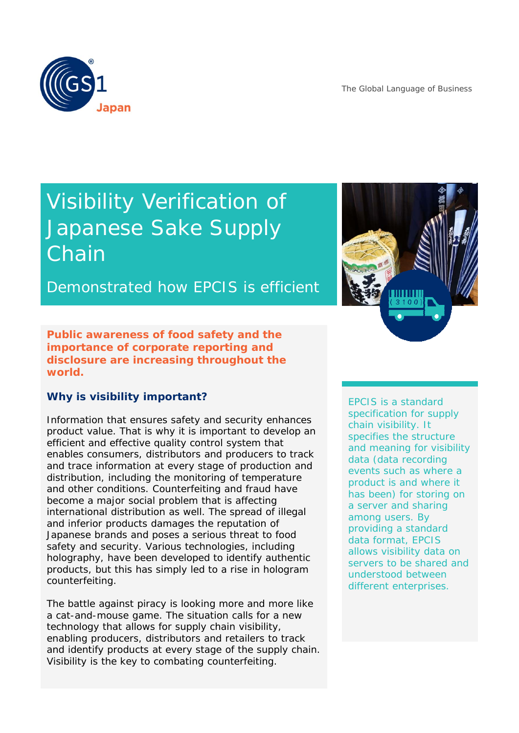The Global Language of Business



# Visibility Verification of Japanese Sake Supply Chain

Demonstrated how EPCIS is efficient

**Public awareness of food safety and the importance of corporate reporting and disclosure are increasing throughout the world.**

## **Why is visibility important?**

Information that ensures safety and security enhances product value. That is why it is important to develop an efficient and effective quality control system that enables consumers, distributors and producers to track and trace information at every stage of production and distribution, including the monitoring of temperature and other conditions. Counterfeiting and fraud have become a major social problem that is affecting international distribution as well. The spread of illegal and inferior products damages the reputation of Japanese brands and poses a serious threat to food safety and security. Various technologies, including holography, have been developed to identify authentic products, but this has simply led to a rise in hologram counterfeiting.

The battle against piracy is looking more and more like a cat-and-mouse game. The situation calls for a new technology that allows for supply chain visibility, enabling producers, distributors and retailers to track and identify products at every stage of the supply chain. Visibility is the key to combating counterfeiting.



EPCIS is a standard specification for supply chain visibility. It specifies the structure and meaning for visibility data (data recording events such as where a product is and where it has been) for storing on a server and sharing among users. By providing a standard data format, EPCIS allows visibility data on servers to be shared and understood between different enterprises.